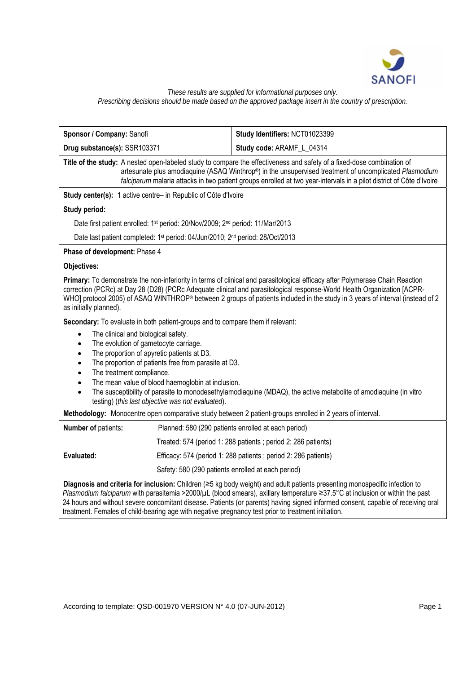

### *These results are supplied for informational purposes only. Prescribing decisions should be made based on the approved package insert in the country of prescription.*

| Sponsor / Company: Sanofi                                                                                                                                                                                                                                                                                                                                                                                                                                                                                                                |                                                    | Study Identifiers: NCT01023399                                  |  |
|------------------------------------------------------------------------------------------------------------------------------------------------------------------------------------------------------------------------------------------------------------------------------------------------------------------------------------------------------------------------------------------------------------------------------------------------------------------------------------------------------------------------------------------|----------------------------------------------------|-----------------------------------------------------------------|--|
| Drug substance(s): SSR103371                                                                                                                                                                                                                                                                                                                                                                                                                                                                                                             |                                                    | Study code: ARAMF_L_04314                                       |  |
| Title of the study: A nested open-labeled study to compare the effectiveness and safety of a fixed-dose combination of<br>artesunate plus amodiaquine (ASAQ Winthrop®) in the unsupervised treatment of uncomplicated Plasmodium<br>falciparum malaria attacks in two patient groups enrolled at two year-intervals in a pilot district of Côte d'Ivoire                                                                                                                                                                                 |                                                    |                                                                 |  |
| Study center(s): 1 active centre- in Republic of Côte d'Ivoire                                                                                                                                                                                                                                                                                                                                                                                                                                                                           |                                                    |                                                                 |  |
| Study period:                                                                                                                                                                                                                                                                                                                                                                                                                                                                                                                            |                                                    |                                                                 |  |
| Date first patient enrolled: 1 <sup>st</sup> period: 20/Nov/2009; 2 <sup>nd</sup> period: 11/Mar/2013                                                                                                                                                                                                                                                                                                                                                                                                                                    |                                                    |                                                                 |  |
| Date last patient completed: 1st period: 04/Jun/2010; 2 <sup>nd</sup> period: 28/Oct/2013                                                                                                                                                                                                                                                                                                                                                                                                                                                |                                                    |                                                                 |  |
| Phase of development: Phase 4                                                                                                                                                                                                                                                                                                                                                                                                                                                                                                            |                                                    |                                                                 |  |
| Objectives:                                                                                                                                                                                                                                                                                                                                                                                                                                                                                                                              |                                                    |                                                                 |  |
| Primary: To demonstrate the non-inferiority in terms of clinical and parasitological efficacy after Polymerase Chain Reaction<br>correction (PCRc) at Day 28 (D28) (PCRc Adequate clinical and parasitological response-World Health Organization [ACPR-<br>WHO] protocol 2005) of ASAQ WINTHROP® between 2 groups of patients included in the study in 3 years of interval (instead of 2<br>as initially planned).                                                                                                                      |                                                    |                                                                 |  |
| Secondary: To evaluate in both patient-groups and to compare them if relevant:                                                                                                                                                                                                                                                                                                                                                                                                                                                           |                                                    |                                                                 |  |
| The clinical and biological safety.<br>$\bullet$<br>The evolution of gametocyte carriage.<br>$\bullet$<br>The proportion of apyretic patients at D3.<br>$\bullet$<br>The proportion of patients free from parasite at D3.<br>$\bullet$<br>The treatment compliance.<br>$\bullet$<br>The mean value of blood haemoglobin at inclusion.<br>$\bullet$<br>The susceptibility of parasite to monodesethylamodiaquine (MDAQ), the active metabolite of amodiaquine (in vitro<br>$\bullet$<br>testing) (this last objective was not evaluated). |                                                    |                                                                 |  |
| Methodology: Monocentre open comparative study between 2 patient-groups enrolled in 2 years of interval.                                                                                                                                                                                                                                                                                                                                                                                                                                 |                                                    |                                                                 |  |
| Number of patients:                                                                                                                                                                                                                                                                                                                                                                                                                                                                                                                      |                                                    | Planned: 580 (290 patients enrolled at each period)             |  |
|                                                                                                                                                                                                                                                                                                                                                                                                                                                                                                                                          |                                                    | Treated: 574 (period 1: 288 patients ; period 2: 286 patients)  |  |
| Evaluated:                                                                                                                                                                                                                                                                                                                                                                                                                                                                                                                               |                                                    | Efficacy: 574 (period 1: 288 patients ; period 2: 286 patients) |  |
|                                                                                                                                                                                                                                                                                                                                                                                                                                                                                                                                          | Safety: 580 (290 patients enrolled at each period) |                                                                 |  |
| Diagnosis and criteria for inclusion: Children (≥5 kg body weight) and adult patients presenting monospecific infection to<br>Plasmodium falciparum with parasitemia >2000/µL (blood smears), axillary temperature ≥37.5°C at inclusion or within the past<br>24 hours and without severe concomitant disease. Patients (or parents) having signed informed consent, capable of receiving oral<br>treatment. Females of child-bearing age with negative pregnancy test prior to treatment initiation.                                    |                                                    |                                                                 |  |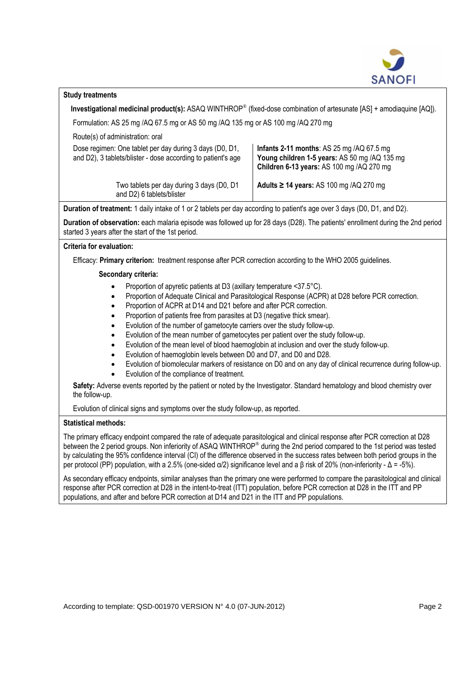

## **Study treatments**

**Investigational medicinal product(s):** ASAQ WINTHROP® (fixed-dose combination of artesunate [AS] + amodiaquine [AQ]).

Formulation: AS 25 mg /AQ 67.5 mg or AS 50 mg /AQ 135 mg or AS 100 mg /AQ 270 mg

Route(s) of administration: oral

| Dose regimen: One tablet per day during 3 days (D0, D1,      |  |
|--------------------------------------------------------------|--|
| and D2), 3 tablets/blister - dose according to patient's age |  |

Two tablets per day during 3 days (D0, D1 and D2) 6 tablets/blister

**Infants 2-11 months**: AS 25 mg /AQ 67.5 mg **Young children 1-5 years:** AS 50 mg /AQ 135 mg **Children 6-13 years:** AS 100 mg /AQ 270 mg

**Adults ≥ 14 years:** AS 100 mg /AQ 270 mg

**Duration of treatment:** 1 daily intake of 1 or 2 tablets per day according to patient's age over 3 days (D0, D1, and D2).

**Duration of observation:** each malaria episode was followed up for 28 days (D28). The patients' enrollment during the 2nd period started 3 years after the start of the 1st period.

## **Criteria for evaluation:**

Efficacy: **Primary criterion:** treatment response after PCR correction according to the WHO 2005 guidelines.

# **Secondary criteria:**

- Proportion of apyretic patients at D3 (axillary temperature <37.5°C).
- Proportion of Adequate Clinical and Parasitological Response (ACPR) at D28 before PCR correction.
- Proportion of ACPR at D14 and D21 before and after PCR correction.
- Proportion of patients free from parasites at D3 (negative thick smear).
- Evolution of the number of gametocyte carriers over the study follow-up.
- Evolution of the mean number of gametocytes per patient over the study follow-up.
- Evolution of the mean level of blood haemoglobin at inclusion and over the study follow-up.
- Evolution of haemoglobin levels between D0 and D7, and D0 and D28.
- Evolution of biomolecular markers of resistance on D0 and on any day of clinical recurrence during follow-up.
- Evolution of the compliance of treatment.

**Safety:** Adverse events reported by the patient or noted by the Investigator. Standard hematology and blood chemistry over the follow-up.

Evolution of clinical signs and symptoms over the study follow-up, as reported.

## **Statistical methods:**

The primary efficacy endpoint compared the rate of adequate parasitological and clinical response after PCR correction at D28 between the 2 period groups. Non inferiority of ASAQ WINTHROP<sup>®</sup> during the 2nd period compared to the 1st period was tested by calculating the 95% confidence interval (CI) of the difference observed in the success rates between both period groups in the per protocol (PP) population, with a 2.5% (one-sided α/2) significance level and a β risk of 20% (non-inferiority - Δ = -5%).

As secondary efficacy endpoints, similar analyses than the primary one were performed to compare the parasitological and clinical response after PCR correction at D28 in the intent-to-treat (ITT) population, before PCR correction at D28 in the ITT and PP populations, and after and before PCR correction at D14 and D21 in the ITT and PP populations.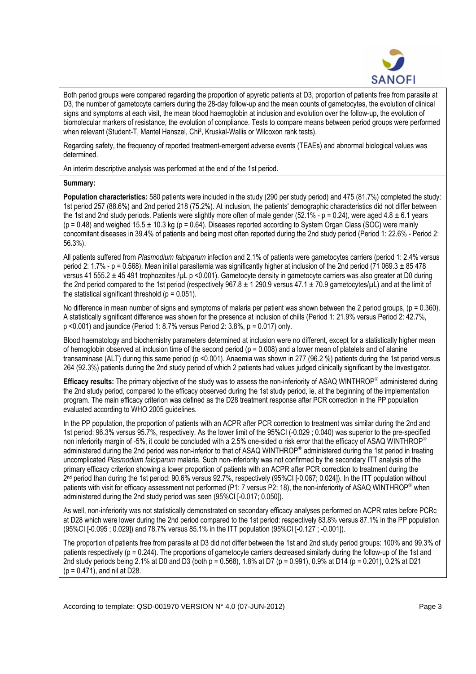

Both period groups were compared regarding the proportion of apyretic patients at D3, proportion of patients free from parasite at D3, the number of gametocyte carriers during the 28-day follow-up and the mean counts of gametocytes, the evolution of clinical signs and symptoms at each visit, the mean blood haemoglobin at inclusion and evolution over the follow-up, the evolution of biomolecular markers of resistance, the evolution of compliance. Tests to compare means between period groups were performed when relevant (Student-T, Mantel Hanszel, Chi², Kruskal-Wallis or Wilcoxon rank tests).

Regarding safety, the frequency of reported treatment-emergent adverse events (TEAEs) and abnormal biological values was determined.

An interim descriptive analysis was performed at the end of the 1st period.

#### **Summary:**

**Population characteristics:** 580 patients were included in the study (290 per study period) and 475 (81.7%) completed the study: 1st period 257 (88.6%) and 2nd period 218 (75.2%). At inclusion, the patients' demographic characteristics did not differ between the 1st and 2nd study periods. Patients were slightly more often of male gender (52.1% - p = 0.24), were aged  $4.8 \pm 6.1$  years  $(p = 0.48)$  and weighed  $15.5 \pm 10.3$  kg ( $p = 0.64$ ). Diseases reported according to System Organ Class (SOC) were mainly concomitant diseases in 39.4% of patients and being most often reported during the 2nd study period (Period 1: 22.6% - Period 2: 56.3%).

All patients suffered from *Plasmodium falciparum* infection and 2.1% of patients were gametocytes carriers (period 1: 2.4% versus period 2:  $1.7\%$  - p = 0.568). Mean initial parasitemia was significantly higher at inclusion of the 2nd period (71 069.3  $\pm$  85 478 versus 41 555.2 ± 45 491 trophozoites /µL p <0.001). Gametocyte density in gametocyte carriers was also greater at D0 during the 2nd period compared to the 1st period (respectively 967.8  $\pm$  1 290.9 versus 47.1  $\pm$  70.9 gametocytes/ $\mu$ L) and at the limit of the statistical significant threshold ( $p = 0.051$ ).

No difference in mean number of signs and symptoms of malaria per patient was shown between the 2 period groups,  $(p = 0.360)$ . A statistically significant difference was shown for the presence at inclusion of chills (Period 1: 21.9% versus Period 2: 42.7%, p <0.001) and jaundice (Period 1: 8.7% versus Period 2: 3.8%, p = 0.017) only.

Blood haematology and biochemistry parameters determined at inclusion were no different, except for a statistically higher mean of hemoglobin observed at inclusion time of the second period ( $p = 0.008$ ) and a lower mean of platelets and of alanine transaminase (ALT) during this same period (p <0.001). Anaemia was shown in 277 (96.2 %) patients during the 1st period versus 264 (92.3%) patients during the 2nd study period of which 2 patients had values judged clinically significant by the Investigator.

**Efficacy results:** The primary objective of the study was to assess the non-inferiority of ASAQ WINTHROP® administered during the 2nd study period, compared to the efficacy observed during the 1st study period, ie, at the beginning of the implementation program. The main efficacy criterion was defined as the D28 treatment response after PCR correction in the PP population evaluated according to WHO 2005 guidelines.

In the PP population, the proportion of patients with an ACPR after PCR correction to treatment was similar during the 2nd and 1st period: 96.3% versus 95.7%, respectively. As the lower limit of the 95%CI (-0.029 ; 0.040) was superior to the pre-specified non inferiority margin of -5%, it could be concluded with a 2.5% one-sided α risk error that the efficacy of ASAQ WINTHROP® administered during the 2nd period was non-inferior to that of ASAQ WINTHROP® administered during the 1st period in treating uncomplicated *Plasmodium falciparum* malaria. Such non-inferiority was not confirmed by the secondary ITT analysis of the primary efficacy criterion showing a lower proportion of patients with an ACPR after PCR correction to treatment during the 2nd period than during the 1st period: 90.6% versus 92.7%, respectively (95%CI [-0.067; 0.024]). In the ITT population without patients with visit for efficacy assessment not performed (P1: 7 versus P2: 18), the non-inferiority of ASAQ WINTHROP® when administered during the 2nd study period was seen (95%CI [-0.017; 0.050]).

As well, non-inferiority was not statistically demonstrated on secondary efficacy analyses performed on ACPR rates before PCRc at D28 which were lower during the 2nd period compared to the 1st period: respectively 83.8% versus 87.1% in the PP population (95%CI [-0.095 ; 0.029]) and 78.7% versus 85.1% in the ITT population (95%CI [-0.127 ; -0.001]).

The proportion of patients free from parasite at D3 did not differ between the 1st and 2nd study period groups: 100% and 99.3% of patients respectively (p = 0.244). The proportions of gametocyte carriers decreased similarly during the follow-up of the 1st and 2nd study periods being 2.1% at D0 and D3 (both p = 0.568), 1.8% at D7 (p = 0.991), 0.9% at D14 (p = 0.201), 0.2% at D21 (p = 0.471), and nil at D28.